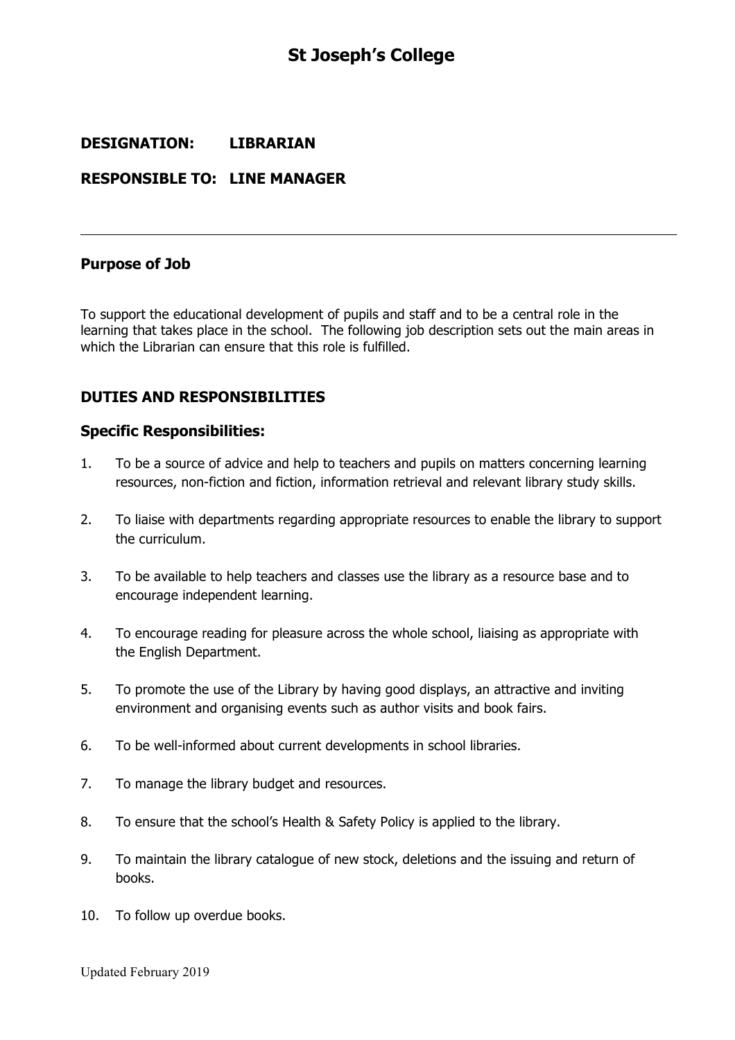# **St Joseph's College**

## **DESIGNATION: LIBRARIAN**

## **RESPONSIBLE TO: LINE MANAGER**

#### **Purpose of Job**

To support the educational development of pupils and staff and to be a central role in the learning that takes place in the school. The following job description sets out the main areas in which the Librarian can ensure that this role is fulfilled.

## **DUTIES AND RESPONSIBILITIES**

#### **Specific Responsibilities:**

- 1. To be a source of advice and help to teachers and pupils on matters concerning learning resources, non-fiction and fiction, information retrieval and relevant library study skills.
- 2. To liaise with departments regarding appropriate resources to enable the library to support the curriculum.
- 3. To be available to help teachers and classes use the library as a resource base and to encourage independent learning.
- 4. To encourage reading for pleasure across the whole school, liaising as appropriate with the English Department.
- 5. To promote the use of the Library by having good displays, an attractive and inviting environment and organising events such as author visits and book fairs.
- 6. To be well-informed about current developments in school libraries.
- 7. To manage the library budget and resources.
- 8. To ensure that the school's Health & Safety Policy is applied to the library.
- 9. To maintain the library catalogue of new stock, deletions and the issuing and return of books.
- 10. To follow up overdue books.